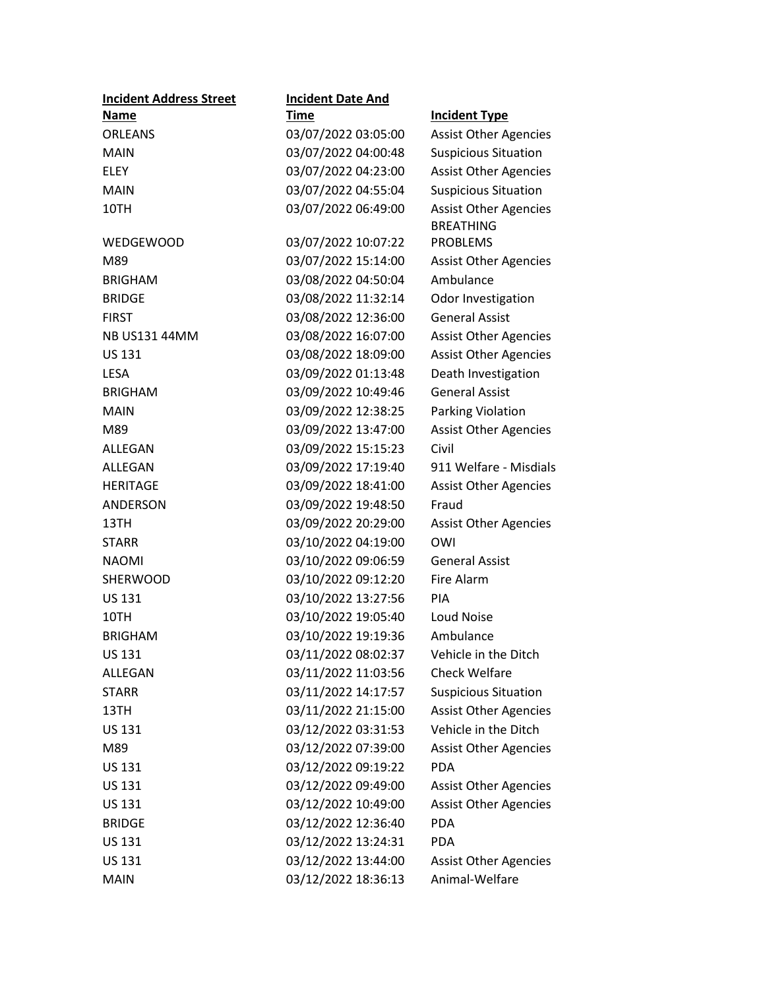| <b>Incident Address Street</b> | <b>Incident Date And</b> |                              |
|--------------------------------|--------------------------|------------------------------|
| Name                           | <u>Time</u>              | <b>Incident Type</b>         |
| <b>ORLEANS</b>                 | 03/07/2022 03:05:00      | <b>Assist Other Agencies</b> |
| <b>MAIN</b>                    | 03/07/2022 04:00:48      | <b>Suspicious Situation</b>  |
| <b>ELEY</b>                    | 03/07/2022 04:23:00      | <b>Assist Other Agencies</b> |
| <b>MAIN</b>                    | 03/07/2022 04:55:04      | <b>Suspicious Situation</b>  |
| 10TH                           | 03/07/2022 06:49:00      | <b>Assist Other Agencies</b> |
|                                |                          | <b>BREATHING</b>             |
| WEDGEWOOD                      | 03/07/2022 10:07:22      | <b>PROBLEMS</b>              |
| M89                            | 03/07/2022 15:14:00      | <b>Assist Other Agencies</b> |
| <b>BRIGHAM</b>                 | 03/08/2022 04:50:04      | Ambulance                    |
| <b>BRIDGE</b>                  | 03/08/2022 11:32:14      | Odor Investigation           |
| <b>FIRST</b>                   | 03/08/2022 12:36:00      | <b>General Assist</b>        |
| <b>NB US131 44MM</b>           | 03/08/2022 16:07:00      | <b>Assist Other Agencies</b> |
| <b>US 131</b>                  | 03/08/2022 18:09:00      | <b>Assist Other Agencies</b> |
| <b>LESA</b>                    | 03/09/2022 01:13:48      | Death Investigation          |
| <b>BRIGHAM</b>                 | 03/09/2022 10:49:46      | <b>General Assist</b>        |
| <b>MAIN</b>                    | 03/09/2022 12:38:25      | Parking Violation            |
| M89                            | 03/09/2022 13:47:00      | <b>Assist Other Agencies</b> |
| ALLEGAN                        | 03/09/2022 15:15:23      | Civil                        |
| ALLEGAN                        | 03/09/2022 17:19:40      | 911 Welfare - Misdials       |
| <b>HERITAGE</b>                | 03/09/2022 18:41:00      | <b>Assist Other Agencies</b> |
| ANDERSON                       | 03/09/2022 19:48:50      | Fraud                        |
| 13TH                           | 03/09/2022 20:29:00      | <b>Assist Other Agencies</b> |
| <b>STARR</b>                   | 03/10/2022 04:19:00      | OWI                          |
| <b>NAOMI</b>                   | 03/10/2022 09:06:59      | <b>General Assist</b>        |
| <b>SHERWOOD</b>                | 03/10/2022 09:12:20      | Fire Alarm                   |
| <b>US 131</b>                  | 03/10/2022 13:27:56      | PIA                          |
| 10TH                           | 03/10/2022 19:05:40      | Loud Noise                   |
| <b>BRIGHAM</b>                 | 03/10/2022 19:19:36      | Ambulance                    |
| <b>US 131</b>                  | 03/11/2022 08:02:37      | Vehicle in the Ditch         |
| ALLEGAN                        | 03/11/2022 11:03:56      | <b>Check Welfare</b>         |
| <b>STARR</b>                   | 03/11/2022 14:17:57      | <b>Suspicious Situation</b>  |
| 13TH                           | 03/11/2022 21:15:00      | <b>Assist Other Agencies</b> |
| US 131                         | 03/12/2022 03:31:53      | Vehicle in the Ditch         |
| M89                            | 03/12/2022 07:39:00      | <b>Assist Other Agencies</b> |
| US 131                         | 03/12/2022 09:19:22      | <b>PDA</b>                   |
| US 131                         | 03/12/2022 09:49:00      | <b>Assist Other Agencies</b> |
| US 131                         | 03/12/2022 10:49:00      | <b>Assist Other Agencies</b> |
| <b>BRIDGE</b>                  | 03/12/2022 12:36:40      | <b>PDA</b>                   |
| US 131                         | 03/12/2022 13:24:31      | <b>PDA</b>                   |
| US 131                         | 03/12/2022 13:44:00      | <b>Assist Other Agencies</b> |
| <b>MAIN</b>                    | 03/12/2022 18:36:13      | Animal-Welfare               |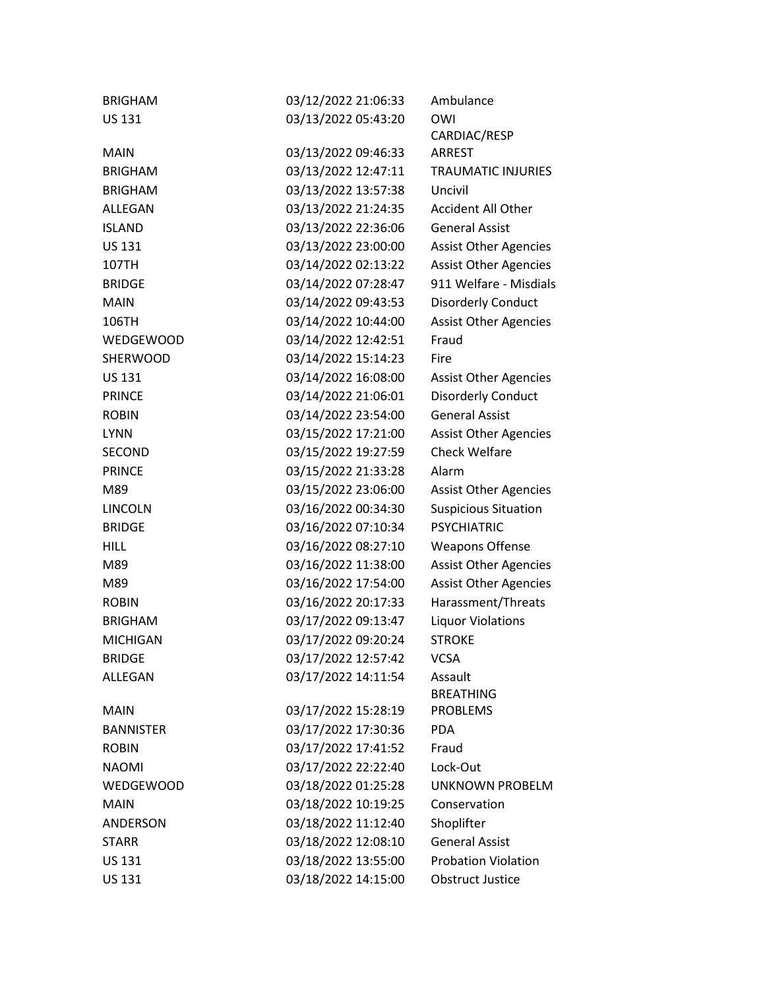| <b>BRIGHAM</b>   | 03/12/2022 21:06:33 | Ambulance                    |
|------------------|---------------------|------------------------------|
| <b>US 131</b>    | 03/13/2022 05:43:20 | OWI                          |
|                  |                     | CARDIAC/RESP                 |
| <b>MAIN</b>      | 03/13/2022 09:46:33 | <b>ARREST</b>                |
| <b>BRIGHAM</b>   | 03/13/2022 12:47:11 | <b>TRAUMATIC INJURIES</b>    |
| <b>BRIGHAM</b>   | 03/13/2022 13:57:38 | Uncivil                      |
| ALLEGAN          | 03/13/2022 21:24:35 | <b>Accident All Other</b>    |
| <b>ISLAND</b>    | 03/13/2022 22:36:06 | <b>General Assist</b>        |
| <b>US 131</b>    | 03/13/2022 23:00:00 | <b>Assist Other Agencies</b> |
| 107TH            | 03/14/2022 02:13:22 | <b>Assist Other Agencies</b> |
| <b>BRIDGE</b>    | 03/14/2022 07:28:47 | 911 Welfare - Misdials       |
| <b>MAIN</b>      | 03/14/2022 09:43:53 | <b>Disorderly Conduct</b>    |
| 106TH            | 03/14/2022 10:44:00 | <b>Assist Other Agencies</b> |
| WEDGEWOOD        | 03/14/2022 12:42:51 | Fraud                        |
| SHERWOOD         | 03/14/2022 15:14:23 | Fire                         |
| <b>US 131</b>    | 03/14/2022 16:08:00 | <b>Assist Other Agencies</b> |
| <b>PRINCE</b>    | 03/14/2022 21:06:01 | <b>Disorderly Conduct</b>    |
| <b>ROBIN</b>     | 03/14/2022 23:54:00 | <b>General Assist</b>        |
| <b>LYNN</b>      | 03/15/2022 17:21:00 | <b>Assist Other Agencies</b> |
| SECOND           | 03/15/2022 19:27:59 | <b>Check Welfare</b>         |
| <b>PRINCE</b>    | 03/15/2022 21:33:28 | Alarm                        |
| M89              | 03/15/2022 23:06:00 | <b>Assist Other Agencies</b> |
| <b>LINCOLN</b>   | 03/16/2022 00:34:30 | <b>Suspicious Situation</b>  |
| <b>BRIDGE</b>    | 03/16/2022 07:10:34 | <b>PSYCHIATRIC</b>           |
| <b>HILL</b>      | 03/16/2022 08:27:10 | <b>Weapons Offense</b>       |
| M89              | 03/16/2022 11:38:00 | <b>Assist Other Agencies</b> |
| M89              | 03/16/2022 17:54:00 | <b>Assist Other Agencies</b> |
| <b>ROBIN</b>     | 03/16/2022 20:17:33 | Harassment/Threats           |
| <b>BRIGHAM</b>   | 03/17/2022 09:13:47 | <b>Liquor Violations</b>     |
| <b>MICHIGAN</b>  | 03/17/2022 09:20:24 | <b>STROKE</b>                |
| <b>BRIDGE</b>    | 03/17/2022 12:57:42 | <b>VCSA</b>                  |
| ALLEGAN          | 03/17/2022 14:11:54 | Assault                      |
|                  |                     | <b>BREATHING</b>             |
| <b>MAIN</b>      | 03/17/2022 15:28:19 | <b>PROBLEMS</b>              |
| <b>BANNISTER</b> | 03/17/2022 17:30:36 | <b>PDA</b>                   |
| <b>ROBIN</b>     | 03/17/2022 17:41:52 | Fraud                        |
| <b>NAOMI</b>     | 03/17/2022 22:22:40 | Lock-Out                     |
| <b>WEDGEWOOD</b> | 03/18/2022 01:25:28 | <b>UNKNOWN PROBELM</b>       |
| <b>MAIN</b>      | 03/18/2022 10:19:25 | Conservation                 |
| <b>ANDERSON</b>  | 03/18/2022 11:12:40 | Shoplifter                   |
| <b>STARR</b>     | 03/18/2022 12:08:10 | <b>General Assist</b>        |
| <b>US 131</b>    | 03/18/2022 13:55:00 | <b>Probation Violation</b>   |
| <b>US 131</b>    | 03/18/2022 14:15:00 | <b>Obstruct Justice</b>      |